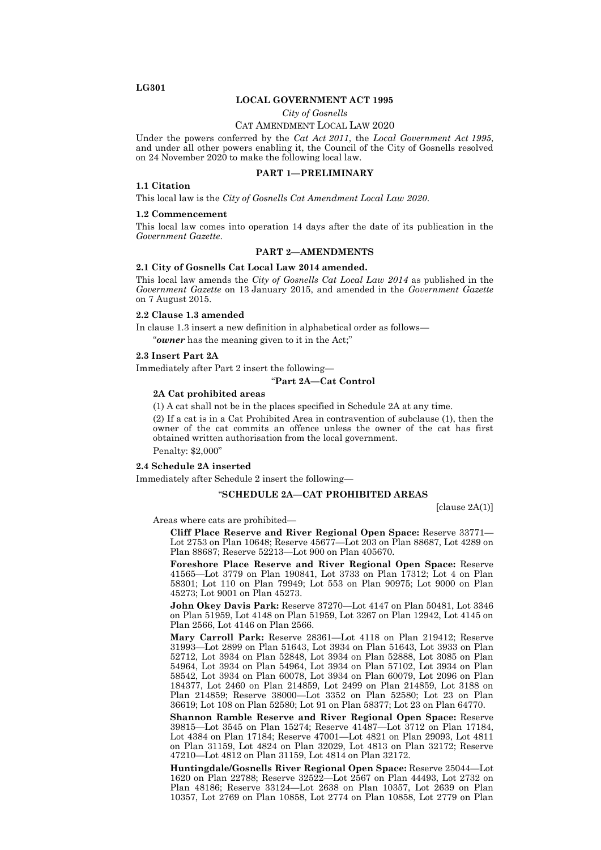# **LG301**

### **LOCAL GOVERNMENT ACT 1995**

*City of Gosnells*

## CAT AMENDMENT LOCAL LAW 2020

Under the powers conferred by the *Cat Act 2011*, the *Local Government Act 1995*, and under all other powers enabling it, the Council of the City of Gosnells resolved on 24 November 2020 to make the following local law.

### **PART 1—PRELIMINARY**

### **1.1 Citation**

This local law is the *City of Gosnells Cat Amendment Local Law 2020*.

## **1.2 Commencement**

This local law comes into operation 14 days after the date of its publication in the *Government Gazette*.

# **PART 2—AMENDMENTS**

#### **2.1 City of Gosnells Cat Local Law 2014 amended.**

This local law amends the *City of Gosnells Cat Local Law 2014* as published in the *Government Gazette* on 13 January 2015, and amended in the *Government Gazette*  on 7 August 2015.

# **2.2 Clause 1.3 amended**

In clause 1.3 insert a new definition in alphabetical order as follows—

"*owner* has the meaning given to it in the Act;"

#### **2.3 Insert Part 2A**

Immediately after Part 2 insert the following—

## "**Part 2A—Cat Control**

# **2A Cat prohibited areas**

(1) A cat shall not be in the places specified in Schedule 2A at any time.

(2) If a cat is in a Cat Prohibited Area in contravention of subclause (1), then the owner of the cat commits an offence unless the owner of the cat has first obtained written authorisation from the local government.

Penalty: \$2,000"

## **2.4 Schedule 2A inserted**

Immediately after Schedule 2 insert the following—

## "**SCHEDULE 2A—CAT PROHIBITED AREAS**

 $[clause 2A(1)]$ 

Areas where cats are prohibited—

**Cliff Place Reserve and River Regional Open Space:** Reserve 33771— Lot 2753 on Plan 10648; Reserve 45677—Lot 203 on Plan 88687, Lot 4289 on Plan 88687; Reserve 52213—Lot 900 on Plan 405670.

**Foreshore Place Reserve and River Regional Open Space:** Reserve 41565—Lot 3779 on Plan 190841, Lot 3733 on Plan 17312; Lot 4 on Plan 58301; Lot 110 on Plan 79949; Lot 553 on Plan 90975; Lot 9000 on Plan 45273; Lot 9001 on Plan 45273.

**John Okey Davis Park:** Reserve 37270—Lot 4147 on Plan 50481, Lot 3346 on Plan 51959, Lot 4148 on Plan 51959, Lot 3267 on Plan 12942, Lot 4145 on Plan 2566, Lot 4146 on Plan 2566.

**Mary Carroll Park:** Reserve 28361—Lot 4118 on Plan 219412; Reserve 31993—Lot 2899 on Plan 51643, Lot 3934 on Plan 51643, Lot 3933 on Plan 52712, Lot 3934 on Plan 52848, Lot 3934 on Plan 52888, Lot 3085 on Plan 54964, Lot 3934 on Plan 54964, Lot 3934 on Plan 57102, Lot 3934 on Plan 58542, Lot 3934 on Plan 60078, Lot 3934 on Plan 60079, Lot 2096 on Plan 184377, Lot 2460 on Plan 214859, Lot 2499 on Plan 214859, Lot 3188 on Plan 214859; Reserve 38000—Lot 3352 on Plan 52580; Lot 23 on Plan 36619; Lot 108 on Plan 52580; Lot 91 on Plan 58377; Lot 23 on Plan 64770.

**Shannon Ramble Reserve and River Regional Open Space:** Reserve 39815—Lot 3545 on Plan 15274; Reserve 41487—Lot 3712 on Plan 17184, Lot 4384 on Plan 17184; Reserve 47001—Lot 4821 on Plan 29093, Lot 4811 on Plan 31159, Lot 4824 on Plan 32029, Lot 4813 on Plan 32172; Reserve 47210—Lot 4812 on Plan 31159, Lot 4814 on Plan 32172.

**Huntingdale/Gosnells River Regional Open Space:** Reserve 25044—Lot 1620 on Plan 22788; Reserve 32522—Lot 2567 on Plan 44493, Lot 2732 on Plan 48186; Reserve 33124—Lot 2638 on Plan 10357, Lot 2639 on Plan 10357, Lot 2769 on Plan 10858, Lot 2774 on Plan 10858, Lot 2779 on Plan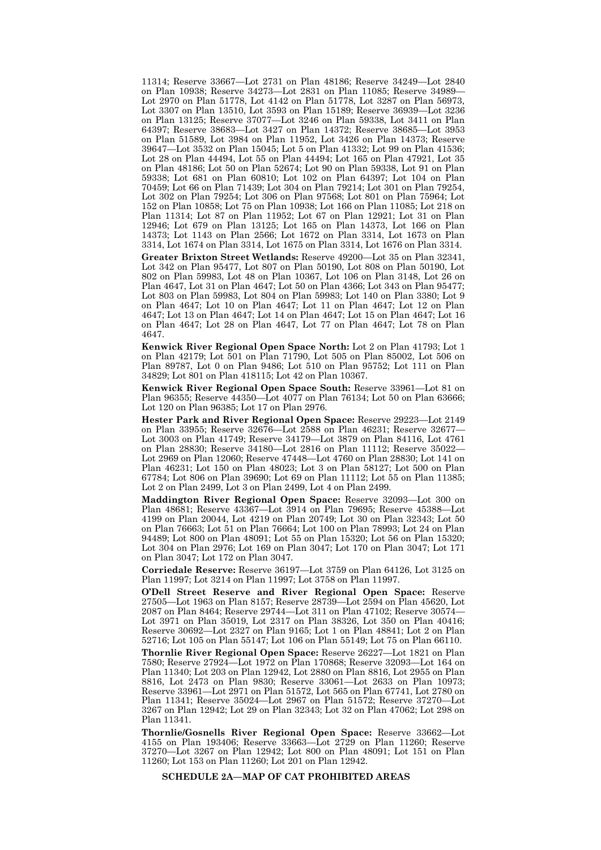11314; Reserve 33667—Lot 2731 on Plan 48186; Reserve 34249—Lot 2840 on Plan 10938; Reserve 34273—Lot 2831 on Plan 11085; Reserve 34989— Lot 2970 on Plan 51778, Lot 4142 on Plan 51778, Lot 3287 on Plan 56973, Lot 3307 on Plan 13510, Lot 3593 on Plan 15189; Reserve 36939—Lot 3236 on Plan 13125; Reserve 37077—Lot 3246 on Plan 59338, Lot 3411 on Plan 64397; Reserve 38683—Lot 3427 on Plan 14372; Reserve 38685—Lot 3953 on Plan 51589, Lot 3984 on Plan 11952, Lot 3426 on Plan 14373; Reserve 39647—Lot 3532 on Plan 15045; Lot 5 on Plan 41332; Lot 99 on Plan 41536; Lot 28 on Plan 44494, Lot 55 on Plan 44494; Lot 165 on Plan 47921, Lot 35 on Plan 48186; Lot 50 on Plan 52674; Lot 90 on Plan 59338, Lot 91 on Plan 59338; Lot 681 on Plan 60810; Lot 102 on Plan 64397; Lot 104 on Plan 70459; Lot 66 on Plan 71439; Lot 304 on Plan 79214; Lot 301 on Plan 79254, Lot 302 on Plan 79254; Lot 306 on Plan 97568; Lot 801 on Plan 75964; Lot 152 on Plan 10858; Lot 75 on Plan 10938; Lot 166 on Plan 11085; Lot 218 on Plan 11314; Lot 87 on Plan 11952; Lot 67 on Plan 12921; Lot 31 on Plan 12946; Lot 679 on Plan 13125; Lot 165 on Plan 14373, Lot 166 on Plan 14373; Lot 1143 on Plan 2566; Lot 1672 on Plan 3314, Lot 1673 on Plan 3314, Lot 1674 on Plan 3314, Lot 1675 on Plan 3314, Lot 1676 on Plan 3314.

**Greater Brixton Street Wetlands:** Reserve 49200—Lot 35 on Plan 32341, Lot 342 on Plan 95477, Lot 807 on Plan 50190, Lot 808 on Plan 50190, Lot 802 on Plan 59983, Lot 48 on Plan 10367, Lot 106 on Plan 3148, Lot 26 on Plan 4647, Lot 31 on Plan 4647; Lot 50 on Plan 4366; Lot 343 on Plan 95477; Lot 803 on Plan 59983, Lot 804 on Plan 59983; Lot 140 on Plan 3380; Lot 9 on Plan 4647; Lot 10 on Plan 4647; Lot 11 on Plan 4647; Lot 12 on Plan 4647; Lot 13 on Plan 4647; Lot 14 on Plan 4647; Lot 15 on Plan 4647; Lot 16 on Plan 4647; Lot 28 on Plan 4647, Lot 77 on Plan 4647; Lot 78 on Plan 4647.

**Kenwick River Regional Open Space North:** Lot 2 on Plan 41793; Lot 1 on Plan 42179; Lot 501 on Plan 71790, Lot 505 on Plan 85002, Lot 506 on Plan 89787, Lot 0 on Plan 9486; Lot 510 on Plan 95752; Lot 111 on Plan 34829; Lot 801 on Plan 418115; Lot 42 on Plan 10367.

**Kenwick River Regional Open Space South:** Reserve 33961—Lot 81 on Plan 96355; Reserve 44350—Lot 4077 on Plan 76134; Lot 50 on Plan 63666; Lot 120 on Plan 96385; Lot 17 on Plan 2976.

**Hester Park and River Regional Open Space:** Reserve 29223—Lot 2149 on Plan 33955; Reserve 32676—Lot 2588 on Plan 46231; Reserve 32677— Lot 3003 on Plan 41749; Reserve 34179—Lot 3879 on Plan 84116, Lot 4761 on Plan 28830; Reserve 34180—Lot 2816 on Plan 11112; Reserve 35022— Lot 2969 on Plan 12060; Reserve 47448—Lot 4760 on Plan 28830; Lot 141 on Plan 46231; Lot 150 on Plan 48023; Lot 3 on Plan 58127; Lot 500 on Plan 67784; Lot 806 on Plan 39690; Lot 69 on Plan 11112; Lot 55 on Plan 11385; Lot 2 on Plan 2499, Lot 3 on Plan 2499, Lot 4 on Plan 2499.

**Maddington River Regional Open Space:** Reserve 32093—Lot 300 on Plan 48681; Reserve 43367—Lot 3914 on Plan 79695; Reserve 45388—Lot 4199 on Plan 20044, Lot 4219 on Plan 20749; Lot 30 on Plan 32343; Lot 50 on Plan 76663; Lot 51 on Plan 76664; Lot 100 on Plan 78993; Lot 24 on Plan 94489; Lot 800 on Plan 48091; Lot 55 on Plan 15320; Lot 56 on Plan 15320; Lot 304 on Plan 2976; Lot 169 on Plan 3047; Lot 170 on Plan 3047; Lot 171 on Plan 3047; Lot 172 on Plan 3047.

**Corriedale Reserve:** Reserve 36197—Lot 3759 on Plan 64126, Lot 3125 on Plan 11997; Lot 3214 on Plan 11997; Lot 3758 on Plan 11997.

**O'Dell Street Reserve and River Regional Open Space:** Reserve 27505—Lot 1963 on Plan 8157; Reserve 28739—Lot 2594 on Plan 45620, Lot 2087 on Plan 8464; Reserve 29744—Lot 311 on Plan 47102; Reserve 30574— Lot 3971 on Plan 35019, Lot 2317 on Plan 38326, Lot 350 on Plan 40416; Reserve 30692—Lot 2327 on Plan 9165; Lot 1 on Plan 48841; Lot 2 on Plan 52716; Lot 105 on Plan 55147; Lot 106 on Plan 55149; Lot 75 on Plan 66110.

**Thornlie River Regional Open Space:** Reserve 26227—Lot 1821 on Plan 7580; Reserve 27924—Lot 1972 on Plan 170868; Reserve 32093—Lot 164 on Plan 11340; Lot 203 on Plan 12942, Lot 2880 on Plan 8816, Lot 2955 on Plan 8816, Lot 2473 on Plan 9830; Reserve 33061—Lot 2633 on Plan 10973; Reserve 33961—Lot 2971 on Plan 51572, Lot 565 on Plan 67741, Lot 2780 on Plan 11341; Reserve 35024—Lot 2967 on Plan 51572; Reserve 37270—Lot 3267 on Plan 12942; Lot 29 on Plan 32343; Lot 32 on Plan 47062; Lot 298 on Plan 11341.

**Thornlie/Gosnells River Regional Open Space:** Reserve 33662—Lot 4155 on Plan 193406; Reserve 33663—Lot 2729 on Plan 11260; Reserve 37270—Lot 3267 on Plan 12942; Lot 800 on Plan 48091; Lot 151 on Plan 11260; Lot 153 on Plan 11260; Lot 201 on Plan 12942.

**SCHEDULE 2A—MAP OF CAT PROHIBITED AREAS**